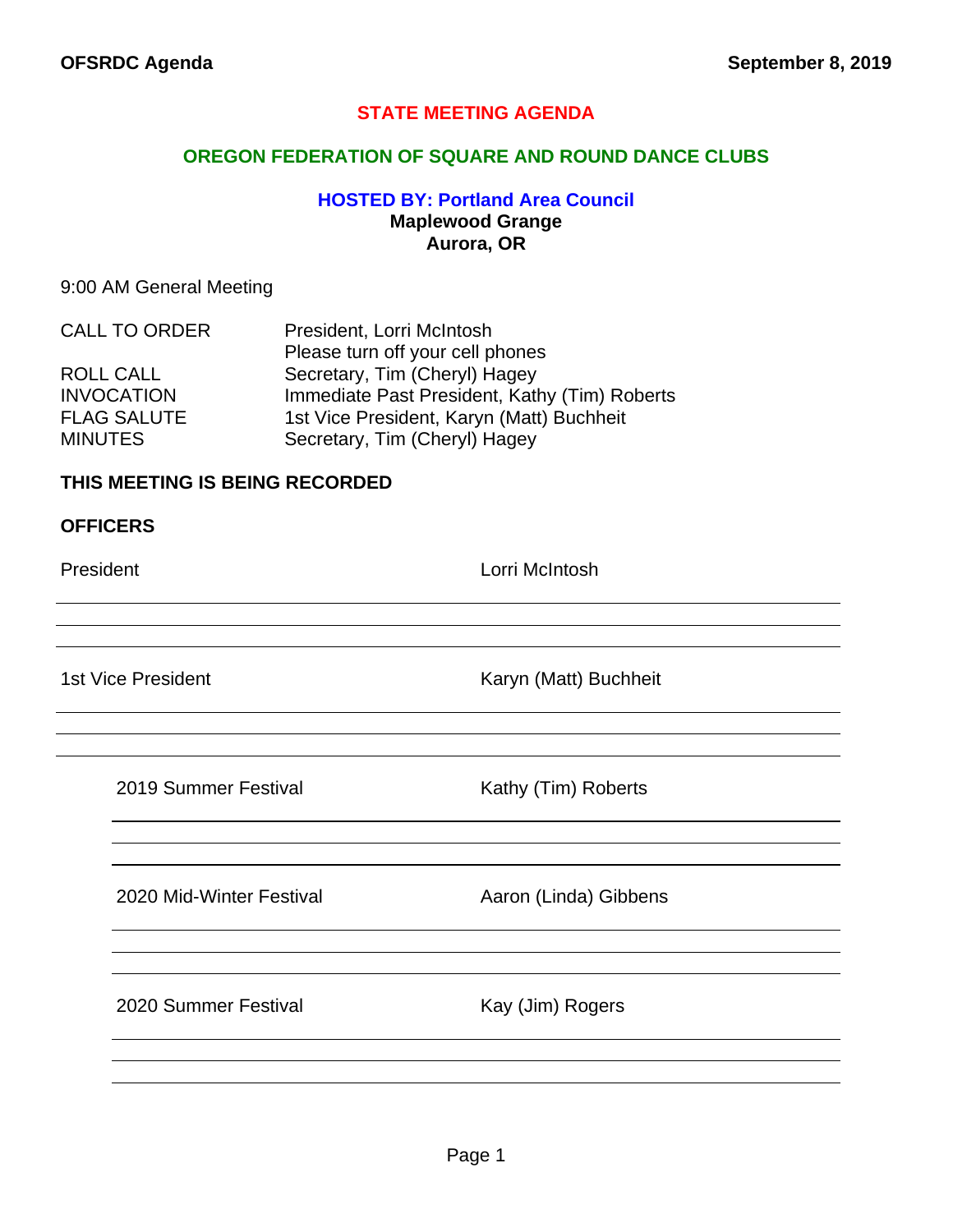# **STATE MEETING AGENDA**

## **OREGON FEDERATION OF SQUARE AND ROUND DANCE CLUBS**

## **HOSTED BY: Portland Area Council Maplewood Grange Aurora, OR**

## 9:00 AM General Meeting

| <b>CALL TO ORDER</b> | President, Lorri McIntosh                     |
|----------------------|-----------------------------------------------|
|                      | Please turn off your cell phones              |
| <b>ROLL CALL</b>     | Secretary, Tim (Cheryl) Hagey                 |
| <b>INVOCATION</b>    | Immediate Past President, Kathy (Tim) Roberts |
| <b>FLAG SALUTE</b>   | 1st Vice President, Karyn (Matt) Buchheit     |
| <b>MINUTES</b>       | Secretary, Tim (Cheryl) Hagey                 |

## **THIS MEETING IS BEING RECORDED**

### **OFFICERS**

President **Lorri McIntosh** 

1st Vice President **Karyn (Matt)** Buchheit

| 2019 Summer Festival |  |
|----------------------|--|
|----------------------|--|

Kathy (Tim) Roberts

2020 Mid-Winter Festival **Aaron** (Linda) Gibbens

2020 Summer Festival Kay (Jim) Rogers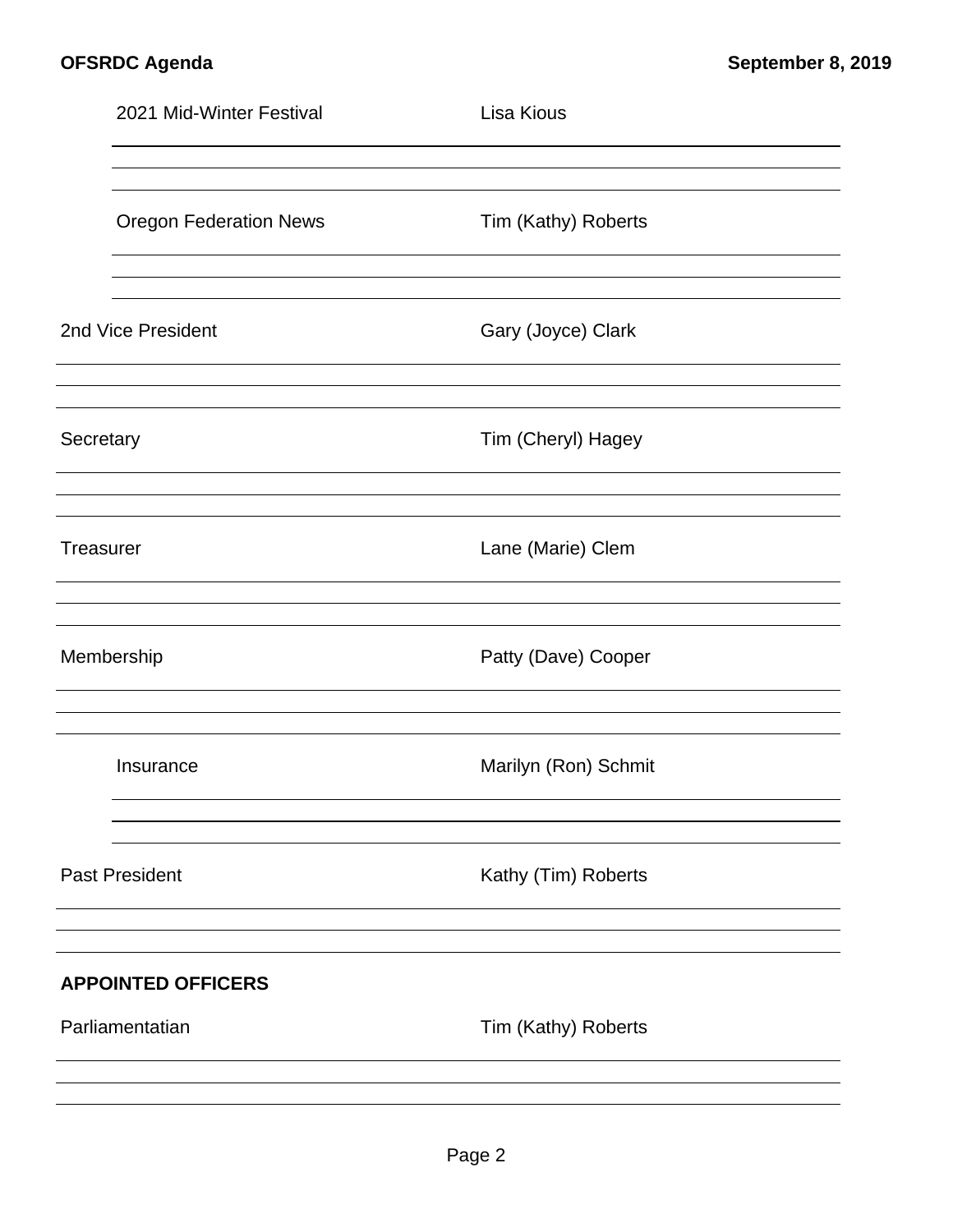|           | 2021 Mid-Winter Festival      | Lisa Kious           |  |
|-----------|-------------------------------|----------------------|--|
|           |                               |                      |  |
|           | <b>Oregon Federation News</b> | Tim (Kathy) Roberts  |  |
|           | 2nd Vice President            | Gary (Joyce) Clark   |  |
| Secretary |                               | Tim (Cheryl) Hagey   |  |
| Treasurer |                               | Lane (Marie) Clem    |  |
|           | Membership                    | Patty (Dave) Cooper  |  |
|           | Insurance                     | Marilyn (Ron) Schmit |  |
|           | <b>Past President</b>         | Kathy (Tim) Roberts  |  |
|           | <b>APPOINTED OFFICERS</b>     |                      |  |
|           | Parliamentatian               | Tim (Kathy) Roberts  |  |
|           |                               |                      |  |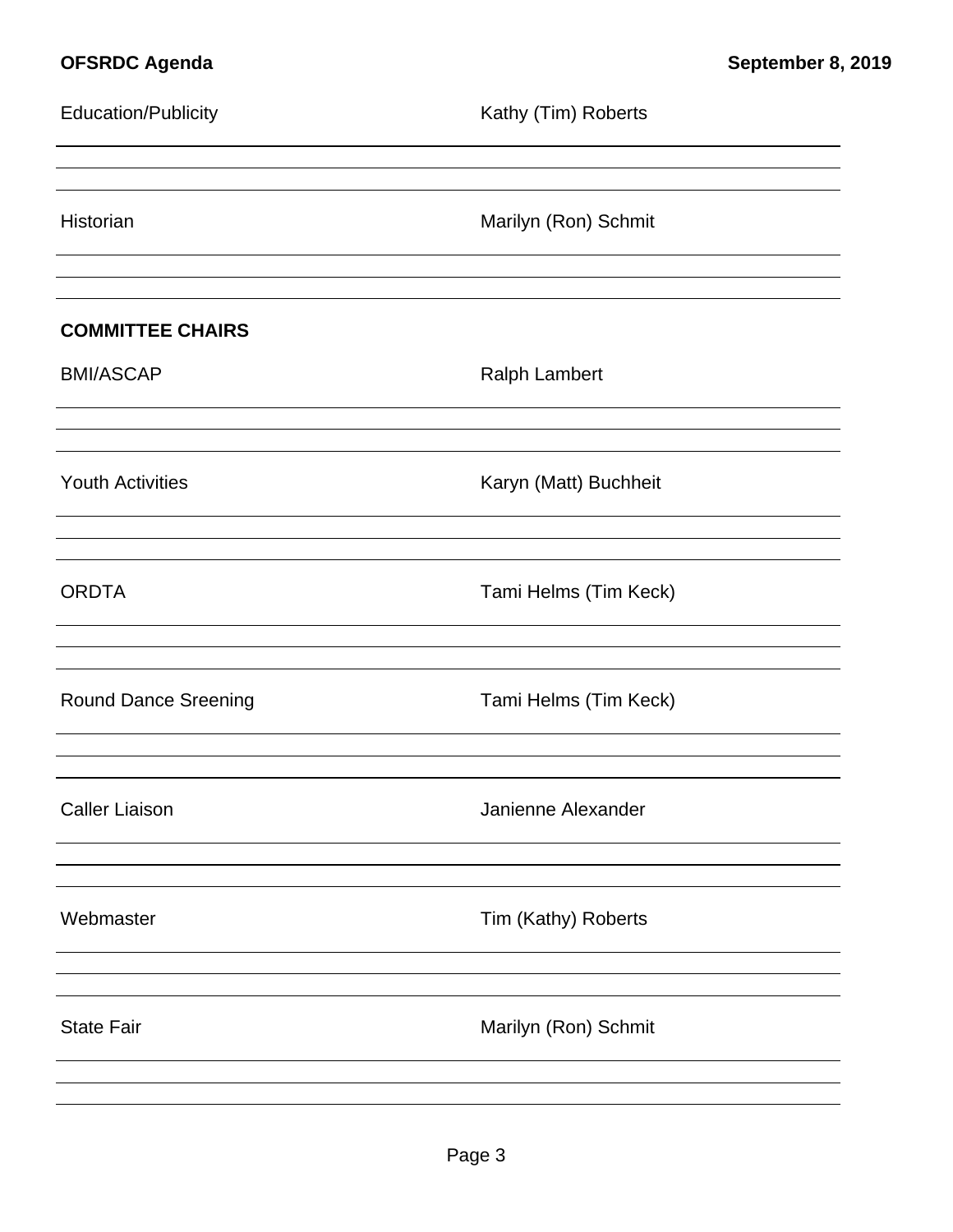| <b>Education/Publicity</b>  | Kathy (Tim) Roberts   |
|-----------------------------|-----------------------|
| Historian                   | Marilyn (Ron) Schmit  |
| <b>COMMITTEE CHAIRS</b>     |                       |
| <b>BMI/ASCAP</b>            | <b>Ralph Lambert</b>  |
| <b>Youth Activities</b>     | Karyn (Matt) Buchheit |
| <b>ORDTA</b>                | Tami Helms (Tim Keck) |
| <b>Round Dance Sreening</b> | Tami Helms (Tim Keck) |
| <b>Caller Liaison</b>       | Janienne Alexander    |
| Webmaster                   | Tim (Kathy) Roberts   |
| <b>State Fair</b>           | Marilyn (Ron) Schmit  |
|                             |                       |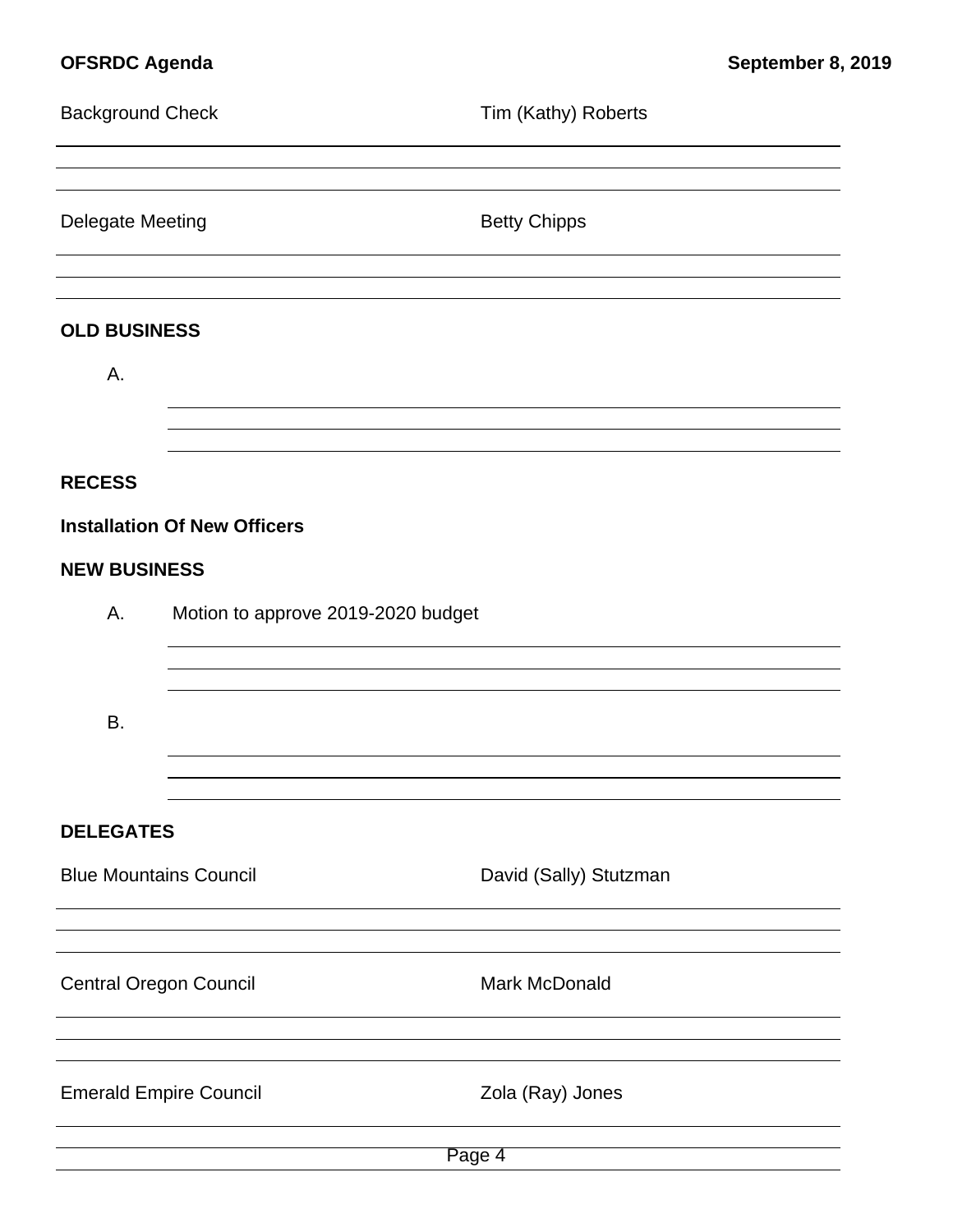| <b>Background Check</b>       |                                     | Tim (Kathy) Roberts    |
|-------------------------------|-------------------------------------|------------------------|
| <b>Delegate Meeting</b>       |                                     | <b>Betty Chipps</b>    |
| <b>OLD BUSINESS</b>           |                                     |                        |
| А.                            |                                     |                        |
|                               |                                     |                        |
| <b>RECESS</b>                 |                                     |                        |
|                               | <b>Installation Of New Officers</b> |                        |
| <b>NEW BUSINESS</b>           |                                     |                        |
| Α.                            | Motion to approve 2019-2020 budget  |                        |
| <b>B.</b>                     |                                     |                        |
|                               |                                     |                        |
| <b>DELEGATES</b>              |                                     |                        |
| <b>Blue Mountains Council</b> |                                     | David (Sally) Stutzman |
| <b>Central Oregon Council</b> |                                     | Mark McDonald          |
| <b>Emerald Empire Council</b> |                                     | Zola (Ray) Jones       |
| Page 4                        |                                     |                        |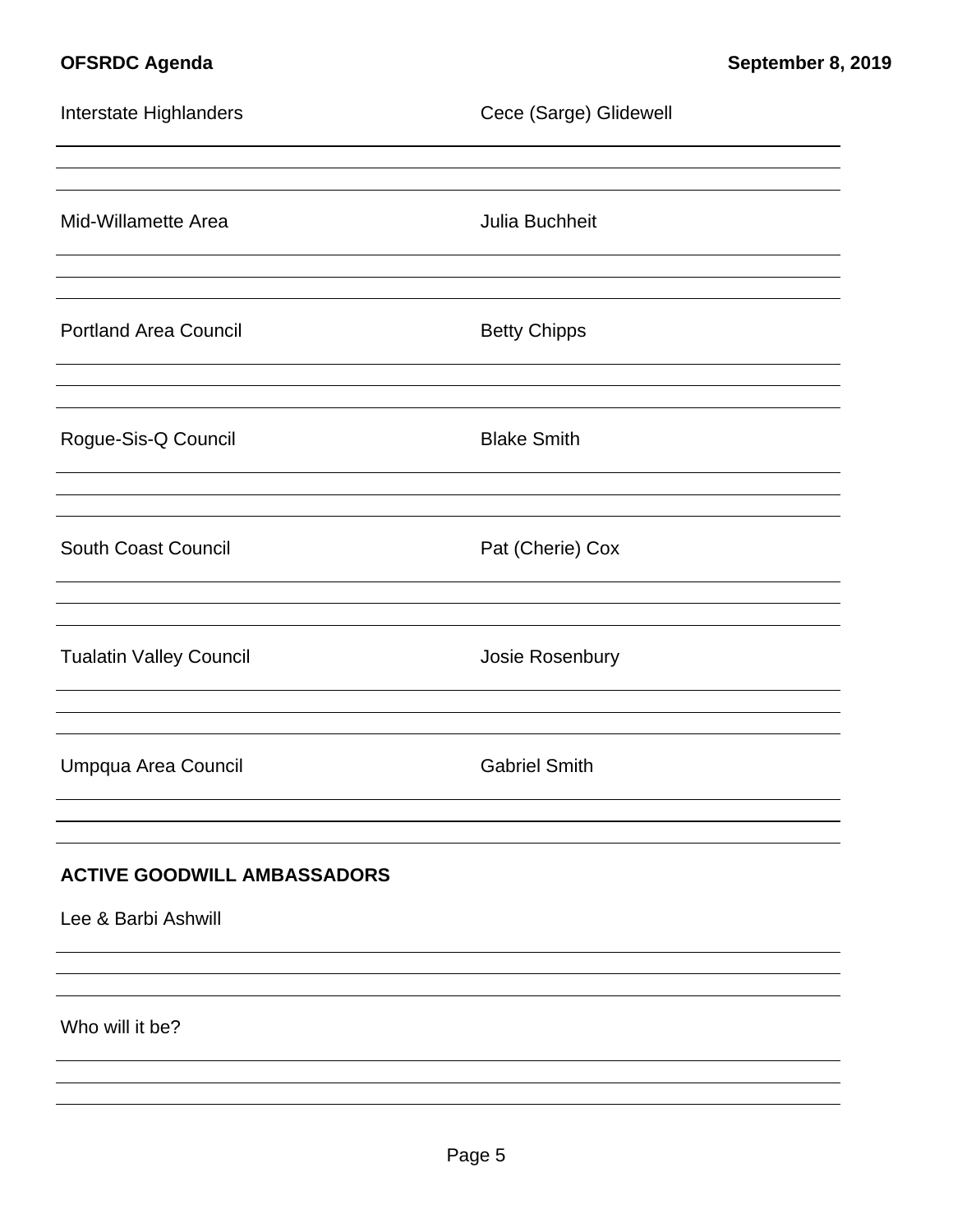| Interstate Highlanders                                    | Cece (Sarge) Glidewell |  |
|-----------------------------------------------------------|------------------------|--|
|                                                           |                        |  |
| Mid-Willamette Area                                       | Julia Buchheit         |  |
| <b>Portland Area Council</b>                              | <b>Betty Chipps</b>    |  |
| Rogue-Sis-Q Council                                       | <b>Blake Smith</b>     |  |
| <b>South Coast Council</b>                                | Pat (Cherie) Cox       |  |
| <b>Tualatin Valley Council</b>                            | Josie Rosenbury        |  |
| Umpqua Area Council                                       | <b>Gabriel Smith</b>   |  |
| <b>ACTIVE GOODWILL AMBASSADORS</b><br>Lee & Barbi Ashwill |                        |  |
| Who will it be?                                           |                        |  |
|                                                           |                        |  |